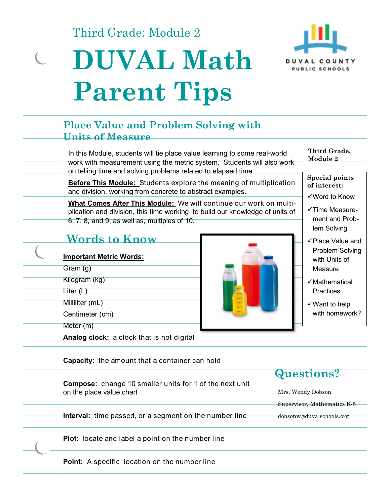Third Grade: Module 2

# **DUVAL Math Parent Tips**



#### In this Module, students will tie place value learning to some real-world work with measurement using the metric system. Students will also work on telling time and solving problems related to elapsed time. **Before This Module:** Students explore the meaning of multiplication and division, working from concrete to abstract examples. **What Comes After This Module:** We will continue our work on multiplication and division, this time working to build our knowledge of units of 6, 7, 8, and 9, as well as, multiples of 10. **Place Value and Problem Solving with Units of Measure Words to Know Third Grade, Module 2 Special points of interest:**  Word to Know  $\checkmark$  Time Measurement and Problem Solving Place Value and Problem Solving with Units of Measure  $\checkmark$ Mathematical Practices Want to help with homework? **Important Metric Words:** Gram (g) Kilogram (kg) Liter (L) Milliliter (mL) Centimeter (cm) Meter (m) **Analog clock:** a clock that is not digital **Capacity:** the amount that a container can hold **Compose:** change 10 smaller units for 1 of the next unit on the place value chart **Interval:** time passed, or a segment on the number line **Plot:** locate and label a point on the number line Point: A specific location on the number line Mrs. Wendy Dobson Supervisor, Mathematics K-5 dobsonw@duvalschools.org **Questions?**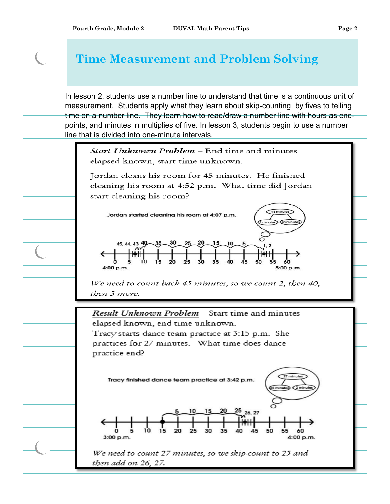## **Time Measurement and Problem Solving**

In lesson 2, students use a number line to understand that time is a continuous unit of measurement. Students apply what they learn about skip-counting by fives to telling time on a number line. They learn how to read/draw a number line with hours as endpoints, and minutes in multiplies of five. In lesson 3, students begin to use a number line that is divided into one-minute intervals.

Start Unknown Problem - End time and minutes elapsed known, start time unknown.

Jordan cleans his room for 45 minutes. He finished cleaning his room at 4:52 p.m. What time did Jordan start cleaning his room?



We need to count back 45 minutes, so we count 2, then 40, then 3 more.

Result Unknown Problem - Start time and minutes elapsed known, end time unknown. Tracy starts dance team practice at 3:15 p.m. She practices for 27 minutes. What time does dance practice end?



We need to count 27 minutes, so we skip-count to 25 and then add on 26, 27.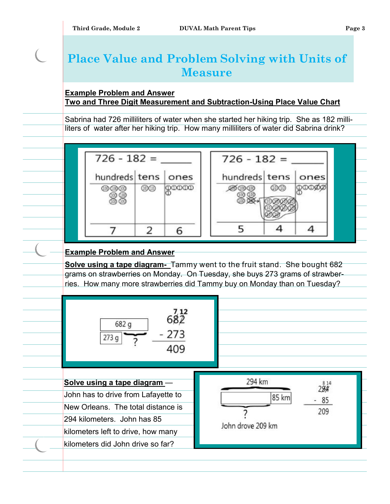## **Place Value and Problem Solving with Units of Measure**

### **Example Problem and Answer Two and Three Digit Measurement and Subtraction-Using Place Value Chart**

Sabrina had 726 milliliters of water when she started her hiking trip. She as 182 milliliters of water after her hiking trip. How many milliliters of water did Sabrina drink?